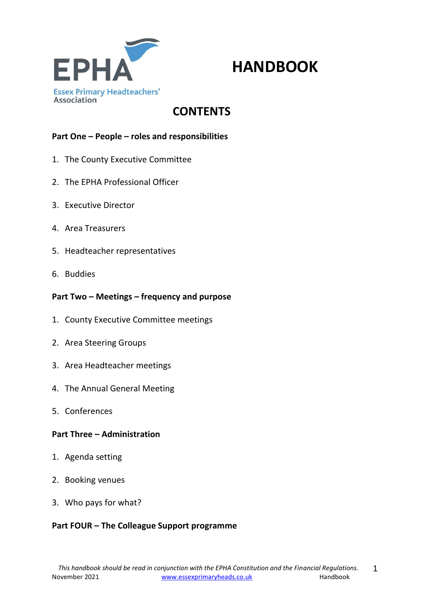

# **HANDBOOK**

## **CONTENTS**

#### **Part One – People – roles and responsibilities**

- 1. The County Executive Committee
- 2. The EPHA Professional Officer
- 3. Executive Director
- 4. Area Treasurers
- 5. Headteacher representatives
- 6. Buddies

#### **Part Two – Meetings – frequency and purpose**

- 1. County Executive Committee meetings
- 2. Area Steering Groups
- 3. Area Headteacher meetings
- 4. The Annual General Meeting
- 5. Conferences

#### **Part Three – Administration**

- 1. Agenda setting
- 2. Booking venues
- 3. Who pays for what?

#### **Part FOUR – The Colleague Support programme**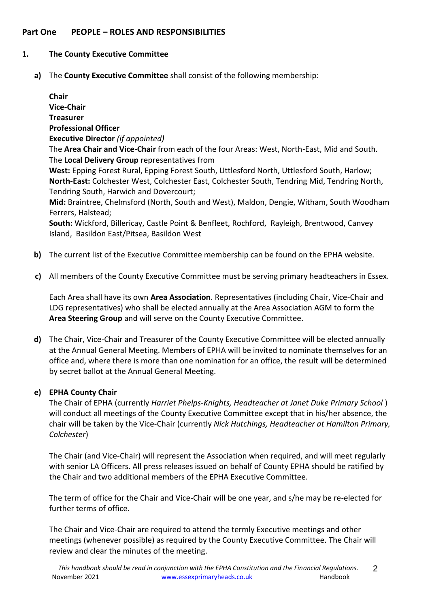#### **Part One PEOPLE – ROLES AND RESPONSIBILITIES**

#### **1. The County Executive Committee**

**a)** The **County Executive Committee** shall consist of the following membership:

**Chair Vice-Chair Treasurer Professional Officer Executive Director** *(if appointed)* The **Area Chair and Vice-Chair** from each of the four Areas: West, North-East, Mid and South. The **Local Delivery Group** representatives from **West:** Epping Forest Rural, Epping Forest South, Uttlesford North, Uttlesford South, Harlow; **North-East:** Colchester West, Colchester East, Colchester South, Tendring Mid, Tendring North, Tendring South, Harwich and Dovercourt; **Mid:** Braintree, Chelmsford (North, South and West), Maldon, Dengie, Witham, South Woodham Ferrers, Halstead; **South:** Wickford, Billericay, Castle Point & Benfleet, Rochford, Rayleigh, Brentwood, Canvey Island, Basildon East/Pitsea, Basildon West

- **b)** The current list of the Executive Committee membership can be found on the EPHA website.
- **c)** All members of the County Executive Committee must be serving primary headteachers in Essex.

Each Area shall have its own **Area Association**. Representatives (including Chair, Vice-Chair and LDG representatives) who shall be elected annually at the Area Association AGM to form the **Area Steering Group** and will serve on the County Executive Committee.

**d)** The Chair, Vice-Chair and Treasurer of the County Executive Committee will be elected annually at the Annual General Meeting. Members of EPHA will be invited to nominate themselves for an office and, where there is more than one nomination for an office, the result will be determined by secret ballot at the Annual General Meeting.

#### **e) EPHA County Chair**

The Chair of EPHA (currently *Harriet Phelps-Knights, Headteacher at Janet Duke Primary School* ) will conduct all meetings of the County Executive Committee except that in his/her absence, the chair will be taken by the Vice-Chair (currently *Nick Hutchings, Headteacher at Hamilton Primary, Colchester*)

The Chair (and Vice-Chair) will represent the Association when required, and will meet regularly with senior LA Officers. All press releases issued on behalf of County EPHA should be ratified by the Chair and two additional members of the EPHA Executive Committee.

The term of office for the Chair and Vice-Chair will be one year, and s/he may be re-elected for further terms of office.

The Chair and Vice-Chair are required to attend the termly Executive meetings and other meetings (whenever possible) as required by the County Executive Committee. The Chair will review and clear the minutes of the meeting.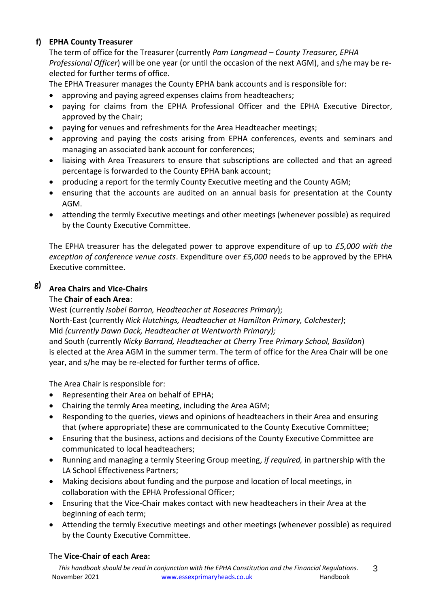### **f) EPHA County Treasurer**

The term of office for the Treasurer (currently *Pam Langmead – County Treasurer, EPHA Professional Officer*) will be one year (or until the occasion of the next AGM), and s/he may be reelected for further terms of office.

The EPHA Treasurer manages the County EPHA bank accounts and is responsible for:

- approving and paying agreed expenses claims from headteachers;
- paying for claims from the EPHA Professional Officer and the EPHA Executive Director, approved by the Chair;
- paying for venues and refreshments for the Area Headteacher meetings;
- approving and paying the costs arising from EPHA conferences, events and seminars and managing an associated bank account for conferences;
- liaising with Area Treasurers to ensure that subscriptions are collected and that an agreed percentage is forwarded to the County EPHA bank account;
- producing a report for the termly County Executive meeting and the County AGM;
- ensuring that the accounts are audited on an annual basis for presentation at the County AGM.
- attending the termly Executive meetings and other meetings (whenever possible) as required by the County Executive Committee.

The EPHA treasurer has the delegated power to approve expenditure of up to *£5,000 with the exception of conference venue costs*. Expenditure over *£5,000* needs to be approved by the EPHA Executive committee.

#### **g) Area Chairs and Vice-Chairs**

#### The **Chair of each Area**:

West (currently *Isobel Barron, Headteacher at Roseacres Primary*); North-East (currently *Nick Hutchings, Headteacher at Hamilton Primary, Colchester)*; Mid *(currently Dawn Dack, Headteacher at Wentworth Primary);* and South (currently *Nicky Barrand, Headteacher at Cherry Tree Primary School, Basildon*) is elected at the Area AGM in the summer term. The term of office for the Area Chair will be one year, and s/he may be re-elected for further terms of office.

The Area Chair is responsible for:

- Representing their Area on behalf of EPHA;
- Chairing the termly Area meeting, including the Area AGM;
- Responding to the queries, views and opinions of headteachers in their Area and ensuring that (where appropriate) these are communicated to the County Executive Committee;
- Ensuring that the business, actions and decisions of the County Executive Committee are communicated to local headteachers;
- Running and managing a termly Steering Group meeting, *if required,* in partnership with the LA School Effectiveness Partners;
- Making decisions about funding and the purpose and location of local meetings, in collaboration with the EPHA Professional Officer;
- Ensuring that the Vice-Chair makes contact with new headteachers in their Area at the beginning of each term;
- Attending the termly Executive meetings and other meetings (whenever possible) as required by the County Executive Committee.

#### The **Vice-Chair of each Area:**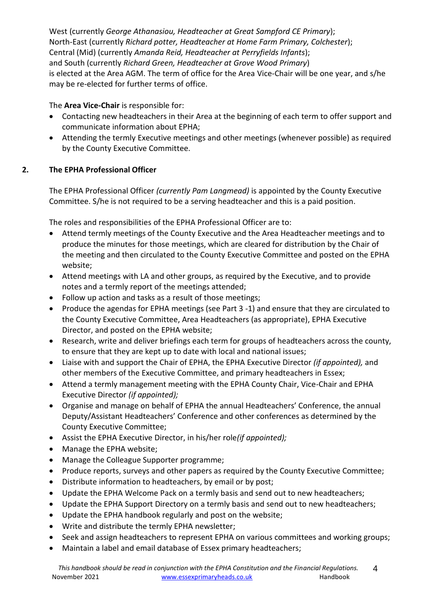West (currently *George Athanasiou, Headteacher at Great Sampford CE Primary*); North-East (currently *Richard potter, Headteacher at Home Farm Primary, Colchester*); Central (Mid) (currently *Amanda Reid, Headteacher at Perryfields Infants*); and South (currently *Richard Green, Headteacher at Grove Wood Primary*) is elected at the Area AGM. The term of office for the Area Vice-Chair will be one year, and s/he may be re-elected for further terms of office.

### The **Area Vice-Chair** is responsible for:

- Contacting new headteachers in their Area at the beginning of each term to offer support and communicate information about EPHA;
- Attending the termly Executive meetings and other meetings (whenever possible) as required by the County Executive Committee.

### **2. The EPHA Professional Officer**

The EPHA Professional Officer *(currently Pam Langmead)* is appointed by the County Executive Committee. S/he is not required to be a serving headteacher and this is a paid position.

The roles and responsibilities of the EPHA Professional Officer are to:

- Attend termly meetings of the County Executive and the Area Headteacher meetings and to produce the minutes for those meetings, which are cleared for distribution by the Chair of the meeting and then circulated to the County Executive Committee and posted on the EPHA website;
- Attend meetings with LA and other groups, as required by the Executive, and to provide notes and a termly report of the meetings attended;
- Follow up action and tasks as a result of those meetings;
- Produce the agendas for EPHA meetings (see Part 3 -1) and ensure that they are circulated to the County Executive Committee, Area Headteachers (as appropriate), EPHA Executive Director, and posted on the EPHA website;
- Research, write and deliver briefings each term for groups of headteachers across the county, to ensure that they are kept up to date with local and national issues;
- Liaise with and support the Chair of EPHA, the EPHA Executive Director *(if appointed),* and other members of the Executive Committee, and primary headteachers in Essex;
- Attend a termly management meeting with the EPHA County Chair, Vice-Chair and EPHA Executive Director *(if appointed);*
- Organise and manage on behalf of EPHA the annual Headteachers' Conference, the annual Deputy/Assistant Headteachers' Conference and other conferences as determined by the County Executive Committee;
- Assist the EPHA Executive Director, in his/her role*(if appointed);*
- Manage the EPHA website;
- Manage the Colleague Supporter programme;
- Produce reports, surveys and other papers as required by the County Executive Committee;
- Distribute information to headteachers, by email or by post;
- Update the EPHA Welcome Pack on a termly basis and send out to new headteachers;
- Update the EPHA Support Directory on a termly basis and send out to new headteachers;
- Update the EPHA handbook regularly and post on the website;
- Write and distribute the termly EPHA newsletter;
- Seek and assign headteachers to represent EPHA on various committees and working groups;
- Maintain a label and email database of Essex primary headteachers;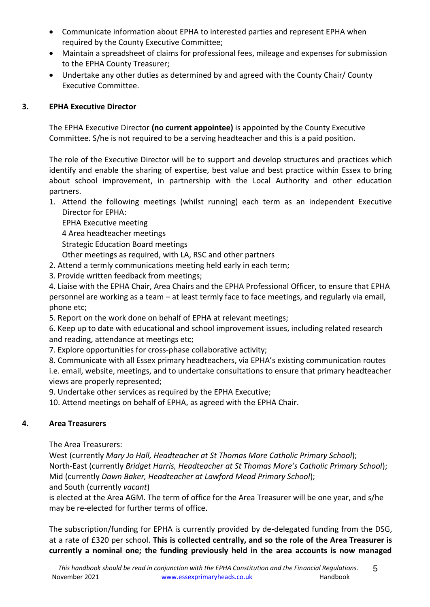- Communicate information about EPHA to interested parties and represent EPHA when required by the County Executive Committee;
- Maintain a spreadsheet of claims for professional fees, mileage and expenses for submission to the EPHA County Treasurer;
- Undertake any other duties as determined by and agreed with the County Chair/ County Executive Committee.

#### **3. EPHA Executive Director**

The EPHA Executive Director **(no current appointee)** is appointed by the County Executive Committee. S/he is not required to be a serving headteacher and this is a paid position.

The role of the Executive Director will be to support and develop structures and practices which identify and enable the sharing of expertise, best value and best practice within Essex to bring about school improvement, in partnership with the Local Authority and other education partners.

1. Attend the following meetings (whilst running) each term as an independent Executive Director for EPHA:

EPHA Executive meeting

4 Area headteacher meetings

Strategic Education Board meetings

Other meetings as required, with LA, RSC and other partners

- 2. Attend a termly communications meeting held early in each term;
- 3. Provide written feedback from meetings;

4. Liaise with the EPHA Chair, Area Chairs and the EPHA Professional Officer, to ensure that EPHA personnel are working as a team – at least termly face to face meetings, and regularly via email, phone etc;

5. Report on the work done on behalf of EPHA at relevant meetings;

6. Keep up to date with educational and school improvement issues, including related research and reading, attendance at meetings etc;

7. Explore opportunities for cross-phase collaborative activity;

8. Communicate with all Essex primary headteachers, via EPHA's existing communication routes i.e. email, website, meetings, and to undertake consultations to ensure that primary headteacher views are properly represented;

9. Undertake other services as required by the EPHA Executive;

10. Attend meetings on behalf of EPHA, as agreed with the EPHA Chair.

#### **4. Area Treasurers**

The Area Treasurers:

West (currently *Mary Jo Hall, Headteacher at St Thomas More Catholic Primary School*); North-East (currently *Bridget Harris, Headteacher at St Thomas More's Catholic Primary School*); Mid (currently *Dawn Baker, Headteacher at Lawford Mead Primary School*); and South (currently *vacant*)

is elected at the Area AGM. The term of office for the Area Treasurer will be one year, and s/he may be re-elected for further terms of office.

The subscription/funding for EPHA is currently provided by de-delegated funding from the DSG, at a rate of £320 per school. **This is collected centrally, and so the role of the Area Treasurer is currently a nominal one; the funding previously held in the area accounts is now managed**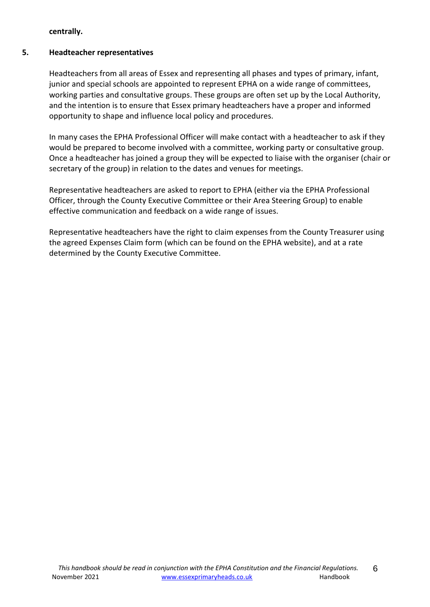**centrally.**

### **5. Headteacher representatives**

Headteachers from all areas of Essex and representing all phases and types of primary, infant, junior and special schools are appointed to represent EPHA on a wide range of committees, working parties and consultative groups. These groups are often set up by the Local Authority, and the intention is to ensure that Essex primary headteachers have a proper and informed opportunity to shape and influence local policy and procedures.

In many cases the EPHA Professional Officer will make contact with a headteacher to ask if they would be prepared to become involved with a committee, working party or consultative group. Once a headteacher has joined a group they will be expected to liaise with the organiser (chair or secretary of the group) in relation to the dates and venues for meetings.

Representative headteachers are asked to report to EPHA (either via the EPHA Professional Officer, through the County Executive Committee or their Area Steering Group) to enable effective communication and feedback on a wide range of issues.

Representative headteachers have the right to claim expenses from the County Treasurer using the agreed Expenses Claim form (which can be found on the EPHA website), and at a rate determined by the County Executive Committee.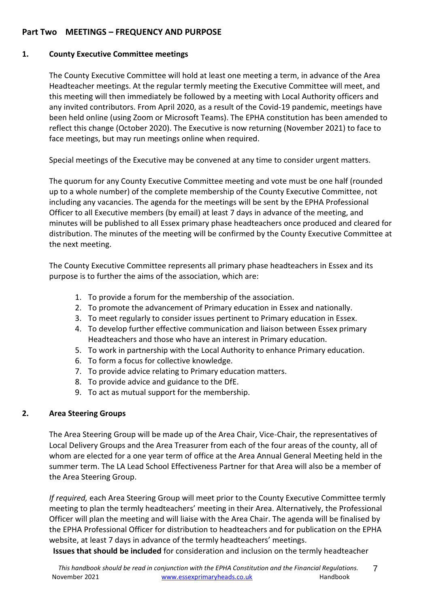#### **Part Two MEETINGS – FREQUENCY AND PURPOSE**

#### **1. County Executive Committee meetings**

The County Executive Committee will hold at least one meeting a term, in advance of the Area Headteacher meetings. At the regular termly meeting the Executive Committee will meet, and this meeting will then immediately be followed by a meeting with Local Authority officers and any invited contributors. From April 2020, as a result of the Covid-19 pandemic, meetings have been held online (using Zoom or Microsoft Teams). The EPHA constitution has been amended to reflect this change (October 2020). The Executive is now returning (November 2021) to face to face meetings, but may run meetings online when required.

Special meetings of the Executive may be convened at any time to consider urgent matters.

The quorum for any County Executive Committee meeting and vote must be one half (rounded up to a whole number) of the complete membership of the County Executive Committee, not including any vacancies. The agenda for the meetings will be sent by the EPHA Professional Officer to all Executive members (by email) at least 7 days in advance of the meeting, and minutes will be published to all Essex primary phase headteachers once produced and cleared for distribution. The minutes of the meeting will be confirmed by the County Executive Committee at the next meeting.

The County Executive Committee represents all primary phase headteachers in Essex and its purpose is to further the aims of the association, which are:

- 1. To provide a forum for the membership of the association.
- 2. To promote the advancement of Primary education in Essex and nationally.
- 3. To meet regularly to consider issues pertinent to Primary education in Essex.
- 4. To develop further effective communication and liaison between Essex primary Headteachers and those who have an interest in Primary education.
- 5. To work in partnership with the Local Authority to enhance Primary education.
- 6. To form a focus for collective knowledge.
- 7. To provide advice relating to Primary education matters.
- 8. To provide advice and guidance to the DfE.
- 9. To act as mutual support for the membership.

#### **2. Area Steering Groups**

The Area Steering Group will be made up of the Area Chair, Vice-Chair, the representatives of Local Delivery Groups and the Area Treasurer from each of the four areas of the county, all of whom are elected for a one year term of office at the Area Annual General Meeting held in the summer term. The LA Lead School Effectiveness Partner for that Area will also be a member of the Area Steering Group.

*If required,* each Area Steering Group will meet prior to the County Executive Committee termly meeting to plan the termly headteachers' meeting in their Area. Alternatively, the Professional Officer will plan the meeting and will liaise with the Area Chair. The agenda will be finalised by the EPHA Professional Officer for distribution to headteachers and for publication on the EPHA website, at least 7 days in advance of the termly headteachers' meetings.

**Issues that should be included** for consideration and inclusion on the termly headteacher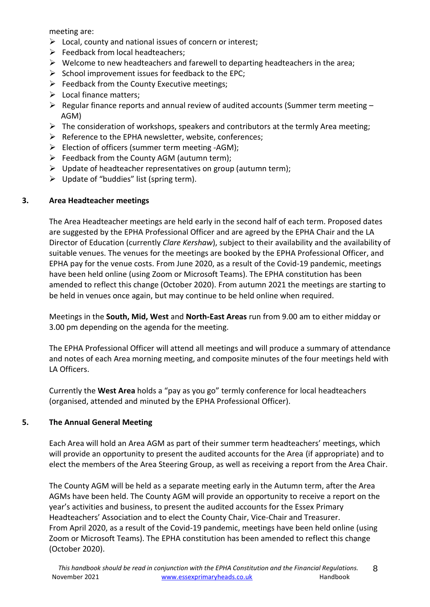meeting are:

- $\triangleright$  Local, county and national issues of concern or interest;
- $\triangleright$  Feedback from local headteachers:
- $\triangleright$  Welcome to new headteachers and farewell to departing headteachers in the area;
- $\triangleright$  School improvement issues for feedback to the EPC;
- $\triangleright$  Feedback from the County Executive meetings;
- $\triangleright$  Local finance matters:
- $\triangleright$  Regular finance reports and annual review of audited accounts (Summer term meeting AGM)
- $\triangleright$  The consideration of workshops, speakers and contributors at the termly Area meeting;
- $\triangleright$  Reference to the EPHA newsletter, website, conferences;
- $\triangleright$  Election of officers (summer term meeting -AGM);
- $\triangleright$  Feedback from the County AGM (autumn term);
- $\triangleright$  Update of headteacher representatives on group (autumn term);
- $\triangleright$  Update of "buddies" list (spring term).

### **3. Area Headteacher meetings**

The Area Headteacher meetings are held early in the second half of each term. Proposed dates are suggested by the EPHA Professional Officer and are agreed by the EPHA Chair and the LA Director of Education (currently *Clare Kershaw*), subject to their availability and the availability of suitable venues. The venues for the meetings are booked by the EPHA Professional Officer, and EPHA pay for the venue costs. From June 2020, as a result of the Covid-19 pandemic, meetings have been held online (using Zoom or Microsoft Teams). The EPHA constitution has been amended to reflect this change (October 2020). From autumn 2021 the meetings are starting to be held in venues once again, but may continue to be held online when required.

Meetings in the **South, Mid, West** and **North-East Areas** run from 9.00 am to either midday or 3.00 pm depending on the agenda for the meeting.

The EPHA Professional Officer will attend all meetings and will produce a summary of attendance and notes of each Area morning meeting, and composite minutes of the four meetings held with LA Officers.

Currently the **West Area** holds a "pay as you go" termly conference for local headteachers (organised, attended and minuted by the EPHA Professional Officer).

### **5. The Annual General Meeting**

Each Area will hold an Area AGM as part of their summer term headteachers' meetings, which will provide an opportunity to present the audited accounts for the Area (if appropriate) and to elect the members of the Area Steering Group, as well as receiving a report from the Area Chair.

The County AGM will be held as a separate meeting early in the Autumn term, after the Area AGMs have been held. The County AGM will provide an opportunity to receive a report on the year's activities and business, to present the audited accounts for the Essex Primary Headteachers' Association and to elect the County Chair, Vice-Chair and Treasurer. From April 2020, as a result of the Covid-19 pandemic, meetings have been held online (using Zoom or Microsoft Teams). The EPHA constitution has been amended to reflect this change (October 2020).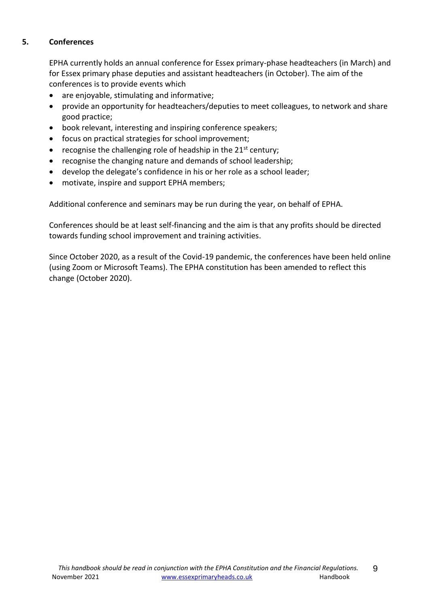#### **5. Conferences**

EPHA currently holds an annual conference for Essex primary-phase headteachers (in March) and for Essex primary phase deputies and assistant headteachers (in October). The aim of the conferences is to provide events which

- are enjoyable, stimulating and informative;
- provide an opportunity for headteachers/deputies to meet colleagues, to network and share good practice;
- book relevant, interesting and inspiring conference speakers;
- focus on practical strategies for school improvement;
- recognise the challenging role of headship in the  $21<sup>st</sup>$  century;
- recognise the changing nature and demands of school leadership;
- develop the delegate's confidence in his or her role as a school leader;
- motivate, inspire and support EPHA members;

Additional conference and seminars may be run during the year, on behalf of EPHA.

Conferences should be at least self-financing and the aim is that any profits should be directed towards funding school improvement and training activities.

Since October 2020, as a result of the Covid-19 pandemic, the conferences have been held online (using Zoom or Microsoft Teams). The EPHA constitution has been amended to reflect this change (October 2020).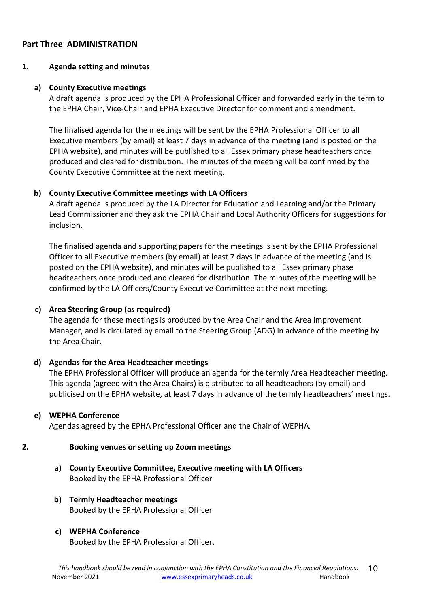#### **Part Three ADMINISTRATION**

#### **1. Agenda setting and minutes**

#### **a) County Executive meetings**

A draft agenda is produced by the EPHA Professional Officer and forwarded early in the term to the EPHA Chair, Vice-Chair and EPHA Executive Director for comment and amendment.

The finalised agenda for the meetings will be sent by the EPHA Professional Officer to all Executive members (by email) at least 7 days in advance of the meeting (and is posted on the EPHA website), and minutes will be published to all Essex primary phase headteachers once produced and cleared for distribution. The minutes of the meeting will be confirmed by the County Executive Committee at the next meeting.

#### **b) County Executive Committee meetings with LA Officers**

A draft agenda is produced by the LA Director for Education and Learning and/or the Primary Lead Commissioner and they ask the EPHA Chair and Local Authority Officers for suggestions for inclusion.

The finalised agenda and supporting papers for the meetings is sent by the EPHA Professional Officer to all Executive members (by email) at least 7 days in advance of the meeting (and is posted on the EPHA website), and minutes will be published to all Essex primary phase headteachers once produced and cleared for distribution. The minutes of the meeting will be confirmed by the LA Officers/County Executive Committee at the next meeting.

#### **c) Area Steering Group (as required)**

The agenda for these meetings is produced by the Area Chair and the Area Improvement Manager, and is circulated by email to the Steering Group (ADG) in advance of the meeting by the Area Chair.

#### **d) Agendas for the Area Headteacher meetings**

The EPHA Professional Officer will produce an agenda for the termly Area Headteacher meeting. This agenda (agreed with the Area Chairs) is distributed to all headteachers (by email) and publicised on the EPHA website, at least 7 days in advance of the termly headteachers' meetings.

#### **e) WEPHA Conference**

Agendas agreed by the EPHA Professional Officer and the Chair of WEPHA*.* 

#### **2. Booking venues or setting up Zoom meetings**

**a) County Executive Committee, Executive meeting with LA Officers**  Booked by the EPHA Professional Officer

#### **b) Termly Headteacher meetings** Booked by the EPHA Professional Officer

#### **c) WEPHA Conference**

Booked by the EPHA Professional Officer.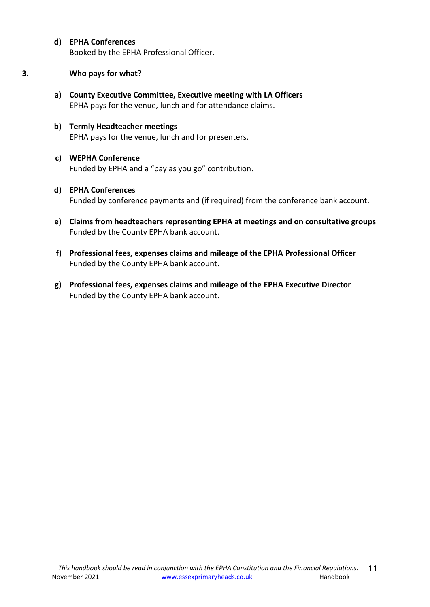**d) EPHA Conferences**

Booked by the EPHA Professional Officer.

- **3. Who pays for what?**
	- **a) County Executive Committee, Executive meeting with LA Officers**  EPHA pays for the venue, lunch and for attendance claims.
	- **b) Termly Headteacher meetings** EPHA pays for the venue, lunch and for presenters.
	- **c) WEPHA Conference** Funded by EPHA and a "pay as you go" contribution.
	- **d) EPHA Conferences** Funded by conference payments and (if required) from the conference bank account.
	- **e) Claims from headteachers representing EPHA at meetings and on consultative groups** Funded by the County EPHA bank account.
	- **f) Professional fees, expenses claims and mileage of the EPHA Professional Officer** Funded by the County EPHA bank account.
	- **g) Professional fees, expenses claims and mileage of the EPHA Executive Director** Funded by the County EPHA bank account.